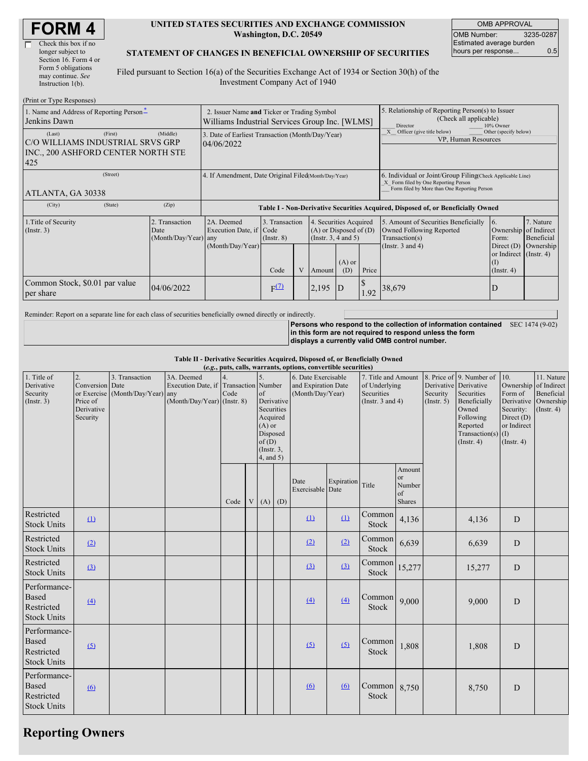| <b>FORM4</b> |
|--------------|
|--------------|

| Check this box if no  |
|-----------------------|
| longer subject to     |
| Section 16. Form 4 or |
| Form 5 obligations    |
| may continue. See     |
| Instruction 1(b).     |
|                       |

 $(Drint or TrmeB)$ 

 $\Gamma$ 

#### **UNITED STATES SECURITIES AND EXCHANGE COMMISSION Washington, D.C. 20549**

OMB APPROVAL OMB Number: 3235-0287 Estimated average burden hours per response... 0.5

#### **STATEMENT OF CHANGES IN BENEFICIAL OWNERSHIP OF SECURITIES**

Filed pursuant to Section 16(a) of the Securities Exchange Act of 1934 or Section 30(h) of the Investment Company Act of 1940

| 1. Name and Address of Reporting Person-<br>Jenkins Dawn                                            | 2. Issuer Name and Ticker or Trading Symbol<br>Williams Industrial Services Group Inc. [WLMS] |                                                      |                 |                                                                                               |        | 5. Relationship of Reporting Person(s) to Issuer<br>(Check all applicable)<br>Director<br>10% Owner |           |                                                                                                                                                    |                                                                   |            |  |  |
|-----------------------------------------------------------------------------------------------------|-----------------------------------------------------------------------------------------------|------------------------------------------------------|-----------------|-----------------------------------------------------------------------------------------------|--------|-----------------------------------------------------------------------------------------------------|-----------|----------------------------------------------------------------------------------------------------------------------------------------------------|-------------------------------------------------------------------|------------|--|--|
| (First)<br>(Last)<br>IC/O WILLIAMS INDUSTRIAL SRVS GRP<br>INC., 200 ASHFORD CENTER NORTH STE<br>425 | 3. Date of Earliest Transaction (Month/Day/Year)<br>04/06/2022                                |                                                      |                 |                                                                                               |        | Other (specify below)<br>X Officer (give title below)<br>VP, Human Resources                        |           |                                                                                                                                                    |                                                                   |            |  |  |
| (Street)<br>ATLANTA, GA 30338                                                                       |                                                                                               | 4. If Amendment, Date Original Filed(Month/Day/Year) |                 |                                                                                               |        |                                                                                                     |           | 6. Individual or Joint/Group Filing(Check Applicable Line)<br>X Form filed by One Reporting Person<br>Form filed by More than One Reporting Person |                                                                   |            |  |  |
| (City)<br>(State)                                                                                   | (Zip)                                                                                         |                                                      |                 |                                                                                               |        |                                                                                                     |           | Table I - Non-Derivative Securities Acquired, Disposed of, or Beneficially Owned                                                                   |                                                                   |            |  |  |
| 1. Title of Security<br>2. Transaction<br>(Insert. 3)<br>Date<br>$(Month/Day/Year)$ any             |                                                                                               | 2A. Deemed<br>Execution Date, if Code                | $($ Instr. $8)$ | 4. Securities Acquired<br>3. Transaction<br>$(A)$ or Disposed of $(D)$<br>(Instr. 3, 4 and 5) |        |                                                                                                     |           | 5. Amount of Securities Beneficially<br>Owned Following Reported<br>Transaction(s)                                                                 | 7. Nature<br>16.<br>Ownership of Indirect<br>Form:                | Beneficial |  |  |
|                                                                                                     |                                                                                               | (Month/Day/Year)                                     | Code            |                                                                                               | Amount | $(A)$ or<br>(D)                                                                                     | Price     | (Instr. $3$ and $4$ )                                                                                                                              | Direct $(D)$<br>or Indirect (Instr. 4)<br>(I)<br>$($ Instr. 4 $)$ | Ownership  |  |  |
| Common Stock, \$0.01 par value<br>per share                                                         | 04/06/2022                                                                                    |                                                      | $F^{(7)}$       |                                                                                               | 2,195  | D                                                                                                   | S<br>1.92 | 38,679                                                                                                                                             | D                                                                 |            |  |  |

Reminder: Report on a separate line for each class of securities beneficially owned directly or indirectly.

**Persons who respond to the collection of information contained** SEC 1474 (9-02) **in this form are not required to respond unless the form displays a currently valid OMB control number.**

**Table II - Derivative Securities Acquired, Disposed of, or Beneficially Owned**

| (e.g., puts, calls, warrants, options, convertible securities)   |                                                             |                                                    |                                                                                    |      |  |                                                                                                                   |  |                                                                |            |                                                                             |                                               |                                                  |                                                                                                                                |                                                                                                                |                                                                      |
|------------------------------------------------------------------|-------------------------------------------------------------|----------------------------------------------------|------------------------------------------------------------------------------------|------|--|-------------------------------------------------------------------------------------------------------------------|--|----------------------------------------------------------------|------------|-----------------------------------------------------------------------------|-----------------------------------------------|--------------------------------------------------|--------------------------------------------------------------------------------------------------------------------------------|----------------------------------------------------------------------------------------------------------------|----------------------------------------------------------------------|
| 1. Title of<br>Derivative<br>Security<br>(Insert. 3)             | 2.<br>Conversion Date<br>Price of<br>Derivative<br>Security | 3. Transaction<br>or Exercise (Month/Day/Year) any | 3A. Deemed<br>Execution Date, if Transaction Number<br>(Month/Day/Year) (Instr. 8) | Code |  | of<br>Derivative<br>Securities<br>Acquired<br>$(A)$ or<br>Disposed<br>of(D)<br>$($ Instr. $3,$<br>$4$ , and $5$ ) |  | 6. Date Exercisable<br>and Expiration Date<br>(Month/Day/Year) |            | 7. Title and Amount<br>of Underlying<br>Securities<br>(Instr. $3$ and $4$ ) |                                               | Derivative Derivative<br>Security<br>(Insert. 5) | 8. Price of 9. Number of<br>Securities<br>Beneficially<br>Owned<br>Following<br>Reported<br>Transaction(s)<br>$($ Instr. 4 $)$ | 10.<br>Ownership of Indirect<br>Form of<br>Security:<br>Direct $(D)$<br>or Indirect<br>(I)<br>$($ Instr. 4 $)$ | 11. Nature<br>Beneficial<br>Derivative Ownership<br>$($ Instr. 4 $)$ |
|                                                                  |                                                             |                                                    |                                                                                    | Code |  | $V(A)$ (D)                                                                                                        |  | Date<br>Exercisable Date                                       | Expiration | Title                                                                       | Amount<br><b>or</b><br>Number<br>of<br>Shares |                                                  |                                                                                                                                |                                                                                                                |                                                                      |
| Restricted<br><b>Stock Units</b>                                 | $\Omega$                                                    |                                                    |                                                                                    |      |  |                                                                                                                   |  | (1)                                                            | (1)        | Common<br>Stock                                                             | 4,136                                         |                                                  | 4,136                                                                                                                          | D                                                                                                              |                                                                      |
| Restricted<br><b>Stock Units</b>                                 | (2)                                                         |                                                    |                                                                                    |      |  |                                                                                                                   |  | (2)                                                            | (2)        | Common<br>Stock                                                             | 6,639                                         |                                                  | 6,639                                                                                                                          | $\mathbf D$                                                                                                    |                                                                      |
| Restricted<br><b>Stock Units</b>                                 | $\left(3\right)$                                            |                                                    |                                                                                    |      |  |                                                                                                                   |  | (3)                                                            | (3)        | Common<br><b>Stock</b>                                                      | 15,277                                        |                                                  | 15,277                                                                                                                         | D                                                                                                              |                                                                      |
| Performance-<br><b>Based</b><br>Restricted<br><b>Stock Units</b> | $\overline{(4)}$                                            |                                                    |                                                                                    |      |  |                                                                                                                   |  | $\Delta$                                                       | (4)        | Common<br>Stock                                                             | 9,000                                         |                                                  | 9,000                                                                                                                          | $\mathbf D$                                                                                                    |                                                                      |
| Performance-<br><b>Based</b><br>Restricted<br><b>Stock Units</b> | (5)                                                         |                                                    |                                                                                    |      |  |                                                                                                                   |  | (5)                                                            | (5)        | Common<br>Stock                                                             | 1,808                                         |                                                  | 1,808                                                                                                                          | D                                                                                                              |                                                                      |
| Performance-<br><b>Based</b><br>Restricted<br><b>Stock Units</b> | $\omega$                                                    |                                                    |                                                                                    |      |  |                                                                                                                   |  | (6)                                                            | 6          | Common<br>Stock                                                             | 8,750                                         |                                                  | 8,750                                                                                                                          | ${\bf D}$                                                                                                      |                                                                      |

## **Reporting Owners**